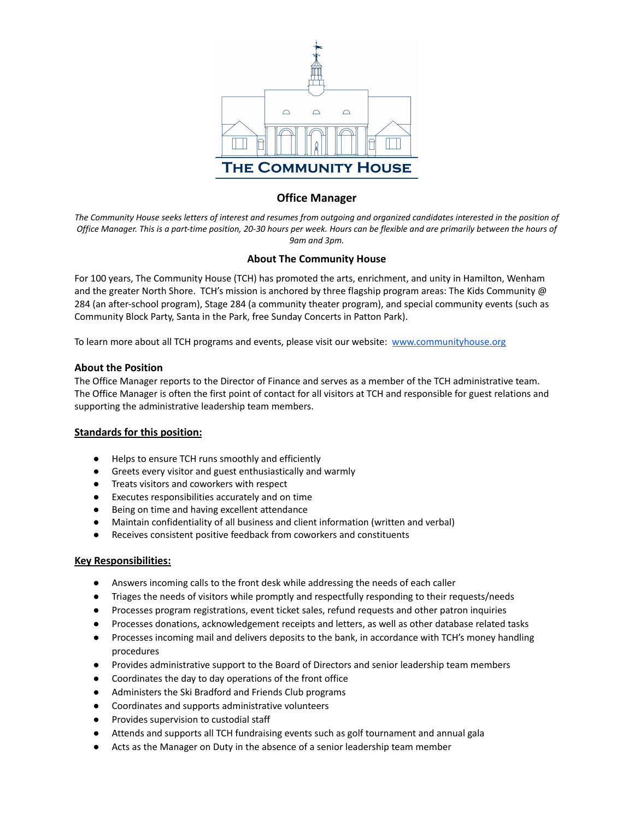

# **Office Manager**

*The Community House seeks letters of interest and resumes from outgoing and organized candidates interested in the position of Office Manager. This is a part-time position, 20-30 hours per week. Hours can be flexible and are primarily between the hours of 9am and 3pm.*

### **About The Community House**

For 100 years, The Community House (TCH) has promoted the arts, enrichment, and unity in Hamilton, Wenham and the greater North Shore. TCH's mission is anchored by three flagship program areas: The Kids Community @ 284 (an after-school program), Stage 284 (a community theater program), and special community events (such as Community Block Party, Santa in the Park, free Sunday Concerts in Patton Park).

To learn more about all TCH programs and events, please visit our website: [www.communityhouse.org](https://communityhouse.org/)

#### **About the Position**

The Office Manager reports to the Director of Finance and serves as a member of the TCH administrative team. The Office Manager is often the first point of contact for all visitors at TCH and responsible for guest relations and supporting the administrative leadership team members.

#### **Standards for this position:**

- Helps to ensure TCH runs smoothly and efficiently
- Greets every visitor and guest enthusiastically and warmly
- Treats visitors and coworkers with respect
- Executes responsibilities accurately and on time
- Being on time and having excellent attendance
- Maintain confidentiality of all business and client information (written and verbal)
- Receives consistent positive feedback from coworkers and constituents

#### **Key Responsibilities:**

- Answers incoming calls to the front desk while addressing the needs of each caller
- Triages the needs of visitors while promptly and respectfully responding to their requests/needs
- Processes program registrations, event ticket sales, refund requests and other patron inquiries
- Processes donations, acknowledgement receipts and letters, as well as other database related tasks
- Processes incoming mail and delivers deposits to the bank, in accordance with TCH's money handling procedures
- Provides administrative support to the Board of Directors and senior leadership team members
- Coordinates the day to day operations of the front office
- Administers the Ski Bradford and Friends Club programs
- Coordinates and supports administrative volunteers
- Provides supervision to custodial staff
- Attends and supports all TCH fundraising events such as golf tournament and annual gala
- Acts as the Manager on Duty in the absence of a senior leadership team member